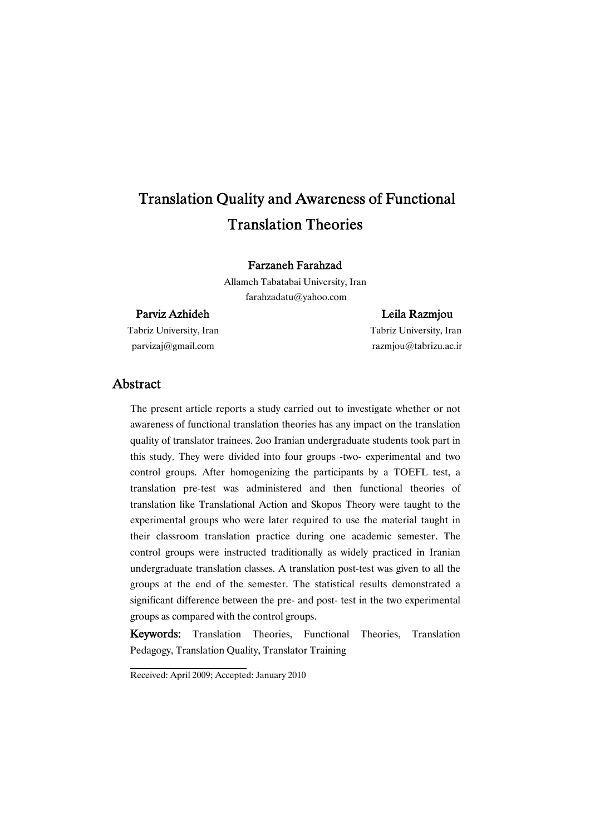# Translation Quality and Awareness of Functional **Translation Theories**

### Farzaneh Farahzad

Allameh Tabatabai University, Iran farahzadatu@yahoo.com

### Parviz Azhideh Leila Razmjou

Tabriz University, Iran Tabriz University, Iran

parvizaj@gmail.com razmjou@tabrizu.ac.ir

### Abstract

The present article reports a study carried out to investigate whether or not awareness of functional translation theories has any impact on the translation quality of translator trainees. 2oo Iranian undergraduate students took part in this study. They were divided into four groups -two- experimental and two control groups. After homogenizing the participants by a TOEFL test, a translation pre-test was administered and then functional theories of translation like Translational Action and Skopos Theory were taught to the experimental groups who were later required to use the material taught in their classroom translation practice during one academic semester. The control groups were instructed traditionally as widely practiced in Iranian undergraduate translation classes. A translation post-test was given to all the groups at the end of the semester. The statistical results demonstrated a significant difference between the pre- and post- test in the two experimental groups as compared with the control groups.

Keywords: Translation Theories, Functional Theories, Translation Pedagogy, Translation Quality, Translator Training

Received: April 2009; Accepted: January 2010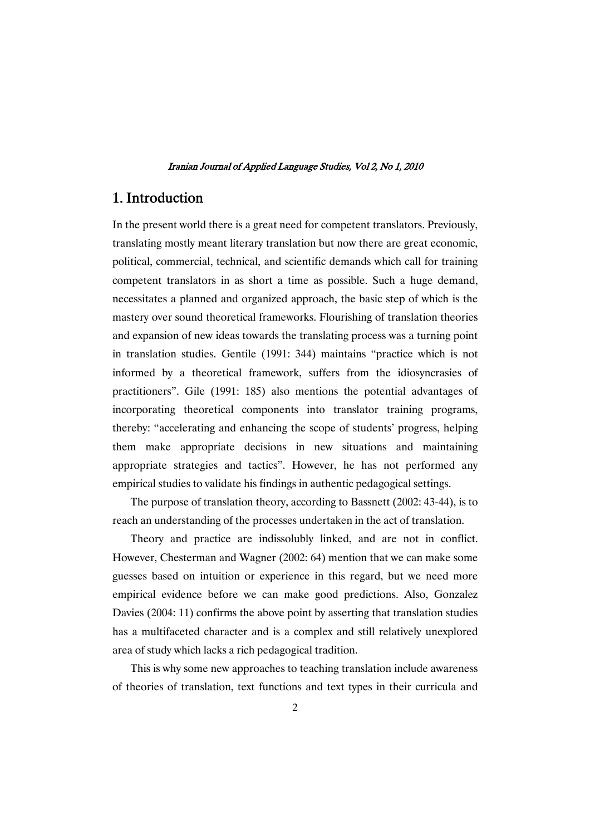### 1.Introduction

In the present world there is a great need for competent translators. Previously, translating mostly meant literary translation but now there are great economic, political, commercial, technical, and scientific demands which call for training competent translators in as short a time as possible. Such a huge demand, necessitates a planned and organized approach, the basic step of which is the mastery over sound theoretical frameworks. Flourishing of translation theories and expansion of new ideas towards the translating process was a turning point in translation studies. Gentile (1991: 344) maintains "practice which is not informed by a theoretical framework, suffers from the idiosyncrasies of practitioners". Gile (1991: 185) also mentions the potential advantages of incorporating theoretical components into translator training programs, thereby: "accelerating and enhancing the scope of students' progress, helping them make appropriate decisions in new situations and maintaining appropriate strategies and tactics". However, he has not performed any empirical studies to validate his findings in authentic pedagogical settings.

The purpose of translation theory, according to Bassnett (2002: 43-44), is to reach an understanding of the processes undertaken in the act of translation.

Theory and practice are indissolubly linked, and are not in conflict. However, Chesterman and Wagner (2002: 64) mention that we can make some guesses based on intuition or experience in this regard, but we need more empirical evidence before we can make good predictions. Also, Gonzalez Davies (2004: 11) confirms the above point by asserting that translation studies has a multifaceted character and is a complex and still relatively unexplored area of study which lacks a rich pedagogical tradition.

This is why some new approaches to teaching translation include awareness of theories of translation, text functions and text types in their curricula and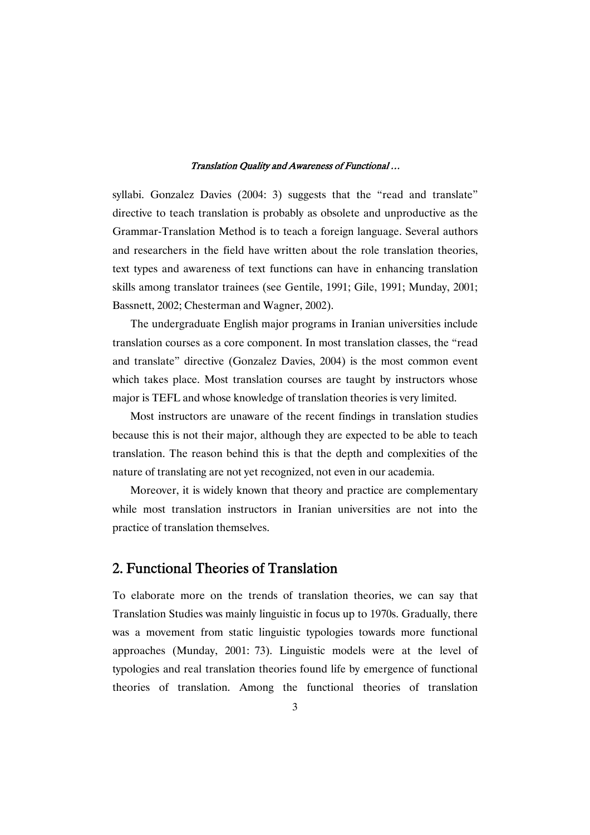syllabi. Gonzalez Davies (2004: 3) suggests that the "read and translate" directive to teach translation is probably as obsolete and unproductive as the Grammar-Translation Method is to teach a foreign language. Several authors and researchers in the field have written about the role translation theories, text types and awareness of text functions can have in enhancing translation skills among translator trainees (see Gentile, 1991; Gile, 1991; Munday, 2001; Bassnett, 2002; Chesterman and Wagner, 2002).

The undergraduate English major programs in Iranian universities include translation courses as a core component. In most translation classes, the "read and translate" directive (Gonzalez Davies, 2004) is the most common event which takes place. Most translation courses are taught by instructors whose major is TEFL and whose knowledge of translation theories is very limited.

Most instructors are unaware of the recent findings in translation studies because this is not their major, although they are expected to be able to teach translation. The reason behind this is that the depth and complexities of the nature of translating are not yet recognized, not even in our academia.

Moreover, it is widely known that theory and practice are complementary while most translation instructors in Iranian universities are not into the practice of translation themselves.

### 2. Functional Theories of Translation

To elaborate more on the trends of translation theories, we can say that Translation Studies was mainly linguistic in focus up to 1970s. Gradually, there was a movement from static linguistic typologies towards more functional approaches (Munday, 2001: 73). Linguistic models were at the level of typologies and real translation theories found life by emergence of functional theories of translation. Among the functional theories of translation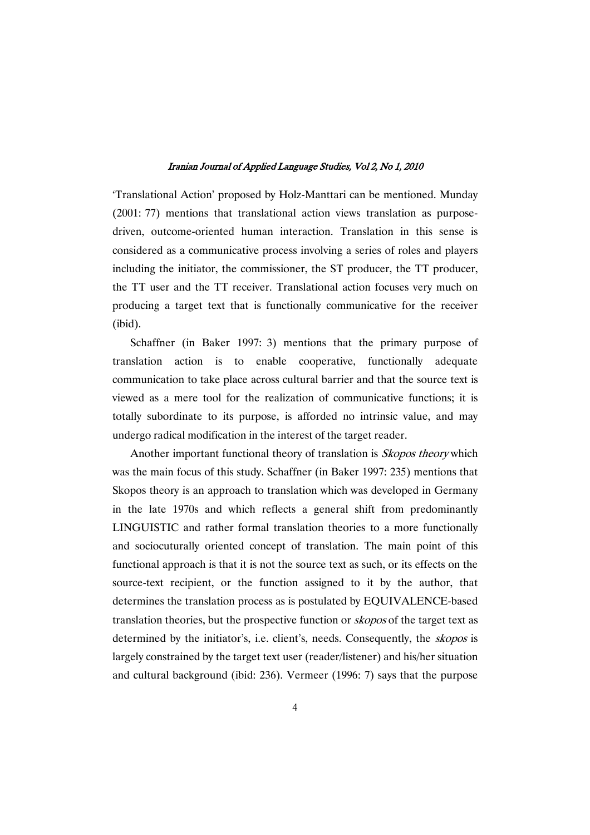'Translational Action' proposed by Holz-Manttari can be mentioned. Munday (2001: 77) mentions that translational action views translation as purposedriven, outcome-oriented human interaction. Translation in this sense is considered as a communicative process involving a series of roles and players including the initiator, the commissioner, the ST producer, the TT producer, the TT user and the TT receiver. Translational action focuses very much on producing a target text that is functionally communicative for the receiver (ibid).

Schaffner (in Baker 1997: 3) mentions that the primary purpose of translation action is to enable cooperative, functionally adequate communication to take place across cultural barrier and that the source text is viewed as a mere tool for the realization of communicative functions; it is totally subordinate to its purpose, is afforded no intrinsic value, and may undergo radical modification in the interest of the target reader.

Another important functional theory of translation is *Skopos theory* which was the main focus of this study. Schaffner (in Baker 1997: 235) mentions that Skopos theory is an approach to translation which was developed in Germany in the late 1970s and which reflects a general shift from predominantly LINGUISTIC and rather formal translation theories to a more functionally and sociocuturally oriented concept of translation. The main point of this functional approach is that it is not the source text as such, or its effects on the source-text recipient, or the function assigned to it by the author, that determines the translation process as is postulated by EQUIVALENCE-based translation theories, but the prospective function or skopos of the target text as determined by the initiator's, i.e. client's, needs. Consequently, the skopos is largely constrained by the target text user (reader/listener) and his/her situation and cultural background (ibid: 236). Vermeer (1996: 7) says that the purpose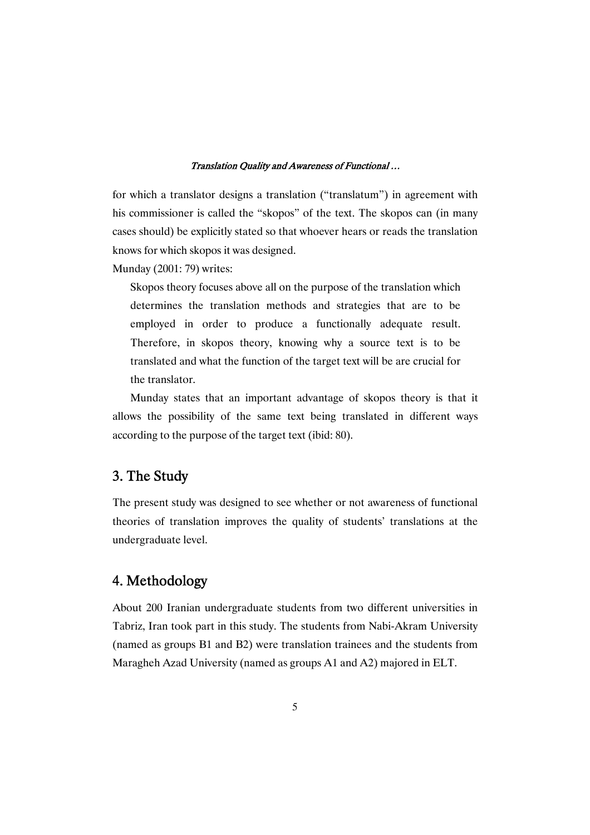for which a translator designs a translation ("translatum") in agreement with his commissioner is called the "skopos" of the text. The skopos can (in many cases should) be explicitly stated so that whoever hears or reads the translation knows for which skopos it was designed.

Munday (2001: 79) writes:

Skopos theory focuses above all on the purpose of the translation which determines the translation methods and strategies that are to be employed in order to produce a functionally adequate result. Therefore, in skopos theory, knowing why a source text is to be translated and what the function of the target text will be are crucial for the translator.

Munday states that an important advantage of skopos theory is that it allows the possibility of the same text being translated in different ways according to the purpose of the target text (ibid: 80).

### 3. The Study

The present study was designed to see whether or not awareness of functional theories of translation improves the quality of students' translations at the undergraduate level.

## 4.Methodology

About 200 Iranian undergraduate students from two different universities in Tabriz, Iran took part in this study. The students from Nabi-Akram University (named as groups B1 and B2) were translation trainees and the students from Maragheh Azad University (named as groups A1 and A2) majored in ELT.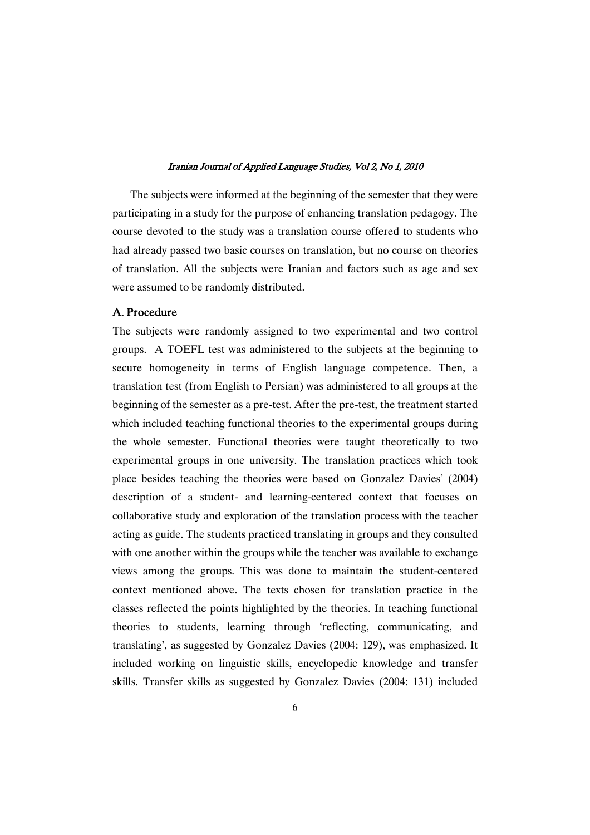The subjects were informed at the beginning of the semester that they were participating in a study for the purpose of enhancing translation pedagogy. The course devoted to the study was a translation course offered to students who had already passed two basic courses on translation, but no course on theories of translation. All the subjects were Iranian and factors such as age and sex were assumed to be randomly distributed.

### A.Procedure

The subjects were randomly assigned to two experimental and two control groups. A TOEFL test was administered to the subjects at the beginning to secure homogeneity in terms of English language competence. Then, a translation test (from English to Persian) was administered to all groups at the beginning of the semester as a pre-test. After the pre-test, the treatment started which included teaching functional theories to the experimental groups during the whole semester. Functional theories were taught theoretically to two experimental groups in one university. The translation practices which took place besides teaching the theories were based on Gonzalez Davies' (2004) description of a student- and learning-centered context that focuses on collaborative study and exploration of the translation process with the teacher acting as guide. The students practiced translating in groups and they consulted with one another within the groups while the teacher was available to exchange views among the groups. This was done to maintain the student-centered context mentioned above. The texts chosen for translation practice in the classes reflected the points highlighted by the theories. In teaching functional theories to students, learning through 'reflecting, communicating, and translating', as suggested by Gonzalez Davies (2004: 129), was emphasized. It included working on linguistic skills, encyclopedic knowledge and transfer skills. Transfer skills as suggested by Gonzalez Davies (2004: 131) included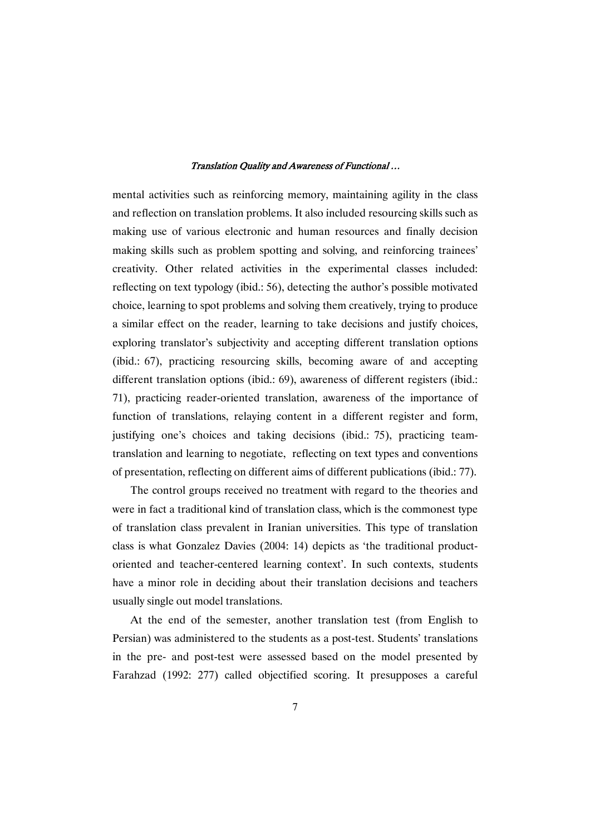mental activities such as reinforcing memory, maintaining agility in the class and reflection on translation problems. It also included resourcing skills such as making use of various electronic and human resources and finally decision making skills such as problem spotting and solving, and reinforcing trainees' creativity. Other related activities in the experimental classes included: reflecting on text typology (ibid.: 56), detecting the author's possible motivated choice, learning to spot problems and solving them creatively, trying to produce a similar effect on the reader, learning to take decisions and justify choices, exploring translator's subjectivity and accepting different translation options (ibid.: 67), practicing resourcing skills, becoming aware of and accepting different translation options (ibid.: 69), awareness of different registers (ibid.: 71), practicing reader-oriented translation, awareness of the importance of function of translations, relaying content in a different register and form, justifying one's choices and taking decisions (ibid.: 75), practicing teamtranslation and learning to negotiate, reflecting on text types and conventions of presentation, reflecting on different aims of different publications (ibid.: 77).

The control groups received no treatment with regard to the theories and were in fact a traditional kind of translation class, which is the commonest type of translation class prevalent in Iranian universities. This type of translation class is what Gonzalez Davies (2004: 14) depicts as 'the traditional productoriented and teacher-centered learning context'. In such contexts, students have a minor role in deciding about their translation decisions and teachers usually single out model translations.

At the end of the semester, another translation test (from English to Persian) was administered to the students as a post-test. Students' translations in the pre- and post-test were assessed based on the model presented by Farahzad (1992: 277) called objectified scoring. It presupposes a careful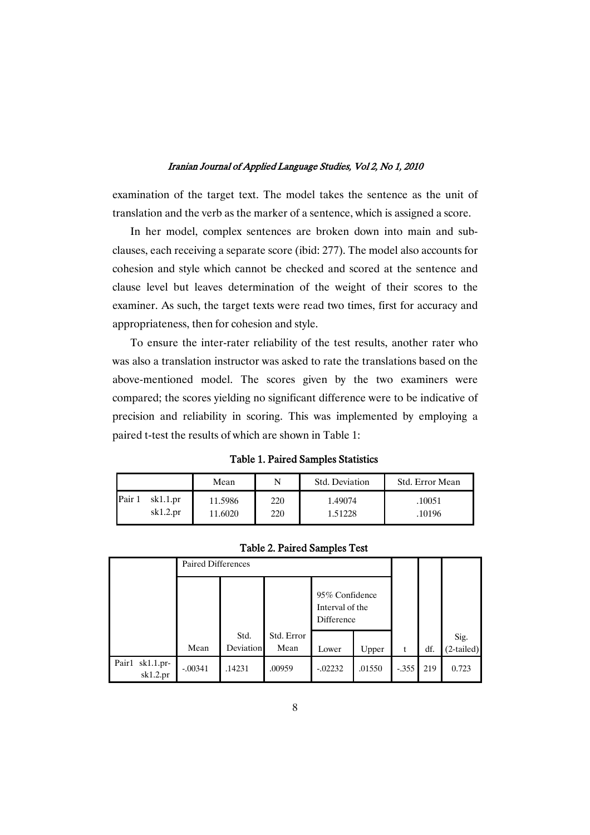examination of the target text. The model takes the sentence as the unit of translation and the verb as the marker of a sentence, which is assigned a score.

In her model, complex sentences are broken down into main and subclauses, each receiving a separate score (ibid: 277). The model also accounts for cohesion and style which cannot be checked and scored at the sentence and clause level but leaves determination of the weight of their scores to the examiner. As such, the target texts were read two times, first for accuracy and appropriateness, then for cohesion and style.

To ensure the inter-rater reliability of the test results, another rater who was also a translation instructor was asked to rate the translations based on the above-mentioned model. The scores given by the two examiners were compared; the scores yielding no significant difference were to be indicative of precision and reliability in scoring. This was implemented by employing a paired t-test the results of which are shown in Table 1:

|                                   | Mean               | N          | Std. Deviation     | Std. Error Mean  |
|-----------------------------------|--------------------|------------|--------------------|------------------|
| Pair 1<br>$sk1.1$ .pr<br>sk1.2.pr | 11.5986<br>11.6020 | 220<br>220 | 1.49074<br>1.51228 | .10051<br>.10196 |

|  |  | <b>Table 2. Paired Samples Test</b> |  |
|--|--|-------------------------------------|--|
|--|--|-------------------------------------|--|

|                             | Paired Differences |                  |            |                                                 |        |         |     |              |
|-----------------------------|--------------------|------------------|------------|-------------------------------------------------|--------|---------|-----|--------------|
|                             |                    |                  |            | 95% Confidence<br>Interval of the<br>Difference |        |         |     |              |
|                             |                    | Std.             | Std. Error |                                                 |        |         |     | Sig.         |
|                             | Mean               | <b>Deviation</b> | Mean       | Lower                                           | Upper  | t       | df. | $(2-tailed)$ |
| Pair1 sk1.1.pr-<br>sk1.2.pr | $-.00341$          | .14231           | .00959     | $-0.02232$                                      | .01550 | $-.355$ | 219 | 0.723        |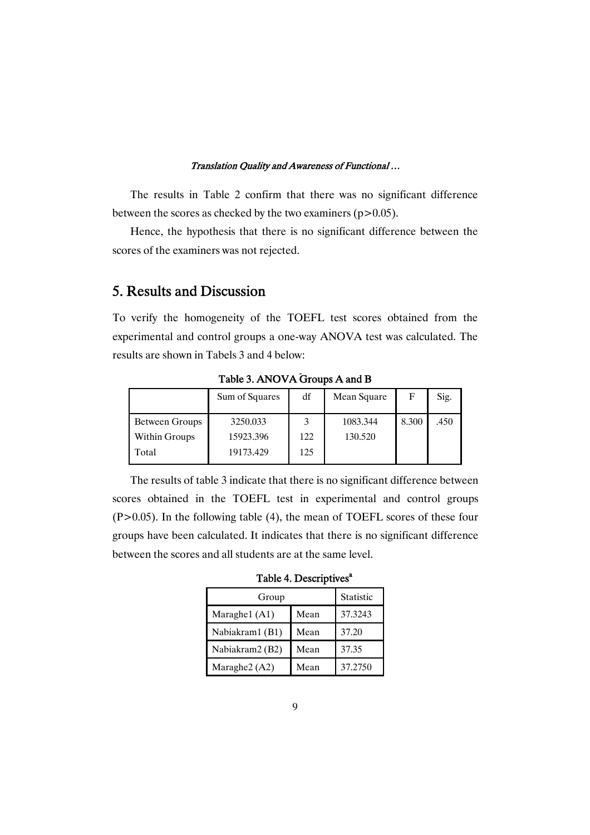The results in Table 2 confirm that there was no significant difference between the scores as checked by the two examiners ( $p > 0.05$ ).

Hence, the hypothesis that there is no significant difference between the scores of the examiners was not rejected.

## 5. Results and Discussion

To verify the homogeneity of the TOEFL test scores obtained from the experimental and control groups a one-way ANOVA test was calculated. The results are shown in Tabels 3 and 4 below:

|                | Sum of Squares | df  | Mean Square | F     | Sig. |
|----------------|----------------|-----|-------------|-------|------|
| Between Groups | 3250.033       | 3   | 1083.344    | 8.300 | .450 |
| Within Groups  | 15923.396      | 122 | 130.520     |       |      |
| Total          | 19173.429      | 125 |             |       |      |

Table 3. ANOVA Groups A and B

The results of table 3 indicate that there is no significant difference between scores obtained in the TOEFL test in experimental and control groups  $(P>0.05)$ . In the following table (4), the mean of TOEFL scores of these four groups have been calculated. It indicates that there is no significant difference between the scores and all students are at the same level.

Table 4. Descriptives<sup>a</sup>

| Group           | Statistic |         |
|-----------------|-----------|---------|
| Maraghe1 (A1)   | Mean      | 37.3243 |
| Nabiakram1 (B1) | Mean      | 37.20   |
| Nabiakram2 (B2) | Mean      | 37.35   |
| Maraghe2 (A2)   | Mean      | 37.2750 |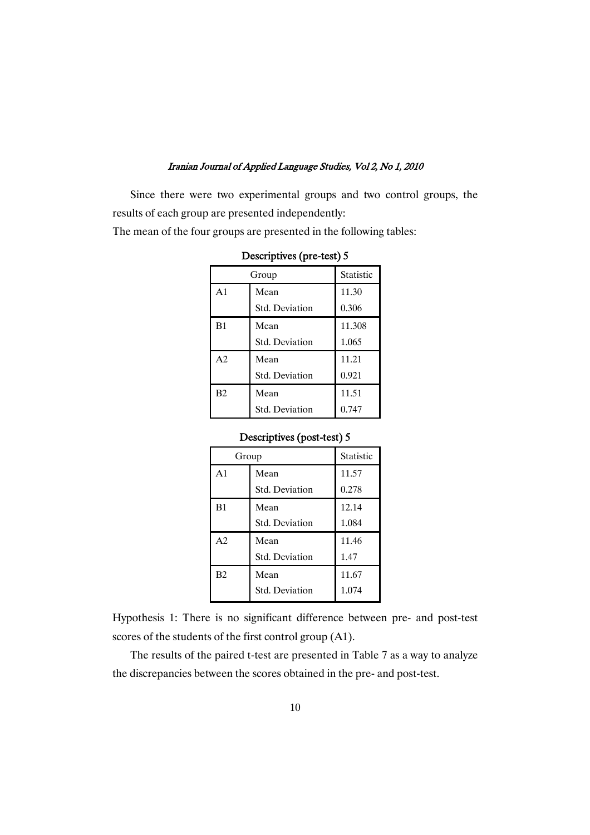Since there were two experimental groups and two control groups, the results of each group are presented independently:

The mean of the four groups are presented in the following tables:

|                | Group                 |        |
|----------------|-----------------------|--------|
| A <sub>1</sub> | Mean                  | 11.30  |
|                | <b>Std. Deviation</b> | 0.306  |
| B1             | Mean                  | 11.308 |
|                | <b>Std. Deviation</b> | 1.065  |
| A <sub>2</sub> | Mean                  | 11.21  |
|                | <b>Std. Deviation</b> | 0.921  |
| B2             | Mean                  | 11.51  |
|                | Std. Deviation        | 0.747  |

Descriptives (pre-test) 5

### Descriptives (post-test) 5

|                | Group                 |       |
|----------------|-----------------------|-------|
| A <sub>1</sub> | Mean                  | 11.57 |
|                | <b>Std. Deviation</b> | 0.278 |
| B1             | Mean                  | 12.14 |
|                | Std. Deviation        | 1.084 |
| A <sub>2</sub> | Mean                  | 11.46 |
|                | <b>Std. Deviation</b> | 1.47  |
| B2             | Mean                  | 11.67 |
|                | Std. Deviation        | 1.074 |

Hypothesis 1: There is no significant difference between pre- and post-test scores of the students of the first control group (A1).

The results of the paired t-test are presented in Table 7 as a way to analyze the discrepancies between the scores obtained in the pre- and post-test.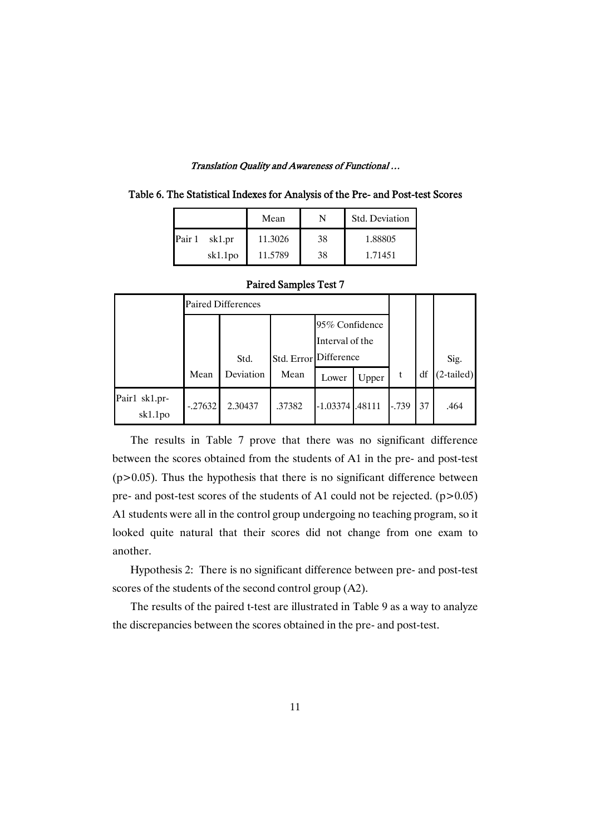|                  | Mean    |    | Std. Deviation |
|------------------|---------|----|----------------|
| Pair 1<br>sk1.pr | 11.3026 | 38 | 1.88805        |
| sk1.1po          | 11.5789 | 38 | 1.71451        |

| Table 6. The Statistical Indexes for Analysis of the Pre- and Post-test Scores |  |
|--------------------------------------------------------------------------------|--|
|--------------------------------------------------------------------------------|--|

|                          |          | <b>Paired Differences</b> |                       |                                   |       |         |    |              |
|--------------------------|----------|---------------------------|-----------------------|-----------------------------------|-------|---------|----|--------------|
|                          |          | Std.                      | Std. Error Difference | 95% Confidence<br>Interval of the |       |         |    | Sig.         |
|                          | Mean     | Deviation                 | Mean                  | Lower                             | Upper |         | df | $(2-tailed)$ |
| Pair1 sk1.pr-<br>sk1.1po | $-27632$ | 2.30437                   | .37382                | $-1.03374$ $1.48111$              |       | $-.739$ | 37 | .464         |

### Paired Samples Test 7

The results in Table 7 prove that there was no significant difference between the scores obtained from the students of A1 in the pre- and post-test  $(p>0.05)$ . Thus the hypothesis that there is no significant difference between pre- and post-test scores of the students of A1 could not be rejected.  $(p>0.05)$ A1 students were all in the control group undergoing no teaching program, so it looked quite natural that their scores did not change from one exam to another.

Hypothesis 2: There is no significant difference between pre- and post-test scores of the students of the second control group (A2).

The results of the paired t-test are illustrated in Table 9 as a way to analyze the discrepancies between the scores obtained in the pre- and post-test.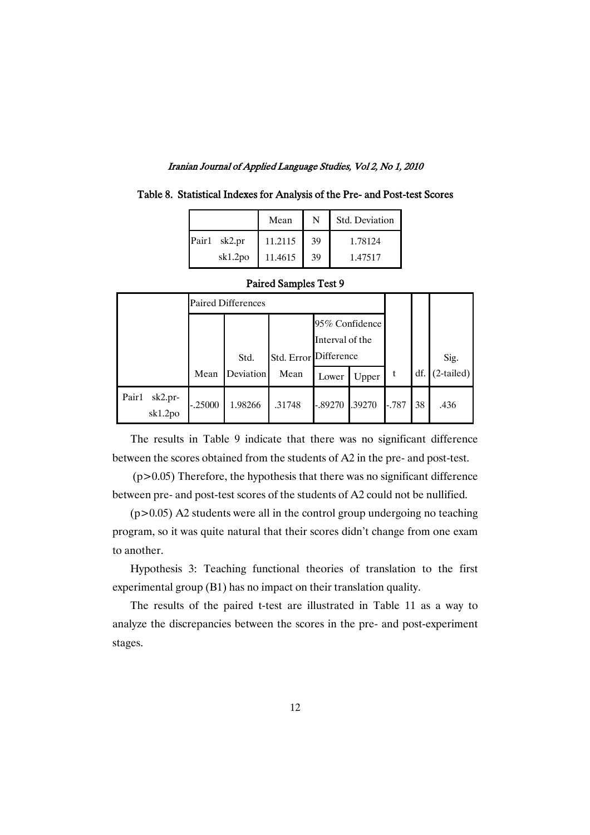|              | Mean    | N  | Std. Deviation |
|--------------|---------|----|----------------|
| Pair1 sk2.pr | 11.2115 | 39 | 1.78124        |
| sk1.2po      | 11.4615 | 39 | 1.47517        |

|  | Table 8. Statistical Indexes for Analysis of the Pre- and Post-test Scores |
|--|----------------------------------------------------------------------------|
|--|----------------------------------------------------------------------------|

|                            | <b>Paired Differences</b> |                          |        |                                   |        |         |     |                      |
|----------------------------|---------------------------|--------------------------|--------|-----------------------------------|--------|---------|-----|----------------------|
|                            |                           |                          |        | 95% Confidence<br>Interval of the |        |         |     |                      |
|                            | Mean                      | Std.<br><b>Deviation</b> | Mean   | Std. Error Difference             |        | t       | df. | Sig.<br>$(2-tailed)$ |
|                            |                           |                          |        | Lower                             | Upper  |         |     |                      |
| Pair1<br>sk2.pr<br>sk1.2po | $-.25000$                 | 1.98266                  | .31748 | $-.89270$                         | .39270 | $-.787$ | 38  | .436                 |

#### Paired Samples Test 9

The results in Table 9 indicate that there was no significant difference between the scores obtained from the students of A2 in the pre- and post-test.

 $(p>0.05)$  Therefore, the hypothesis that there was no significant difference between pre- and post-test scores of the students of A2 could not be nullified.

 $(p>0.05)$  A2 students were all in the control group undergoing no teaching program, so it was quite natural that their scores didn't change from one exam to another.

Hypothesis 3: Teaching functional theories of translation to the first experimental group (B1) has no impact on their translation quality.

The results of the paired t-test are illustrated in Table 11 as a way to analyze the discrepancies between the scores in the pre- and post-experiment stages.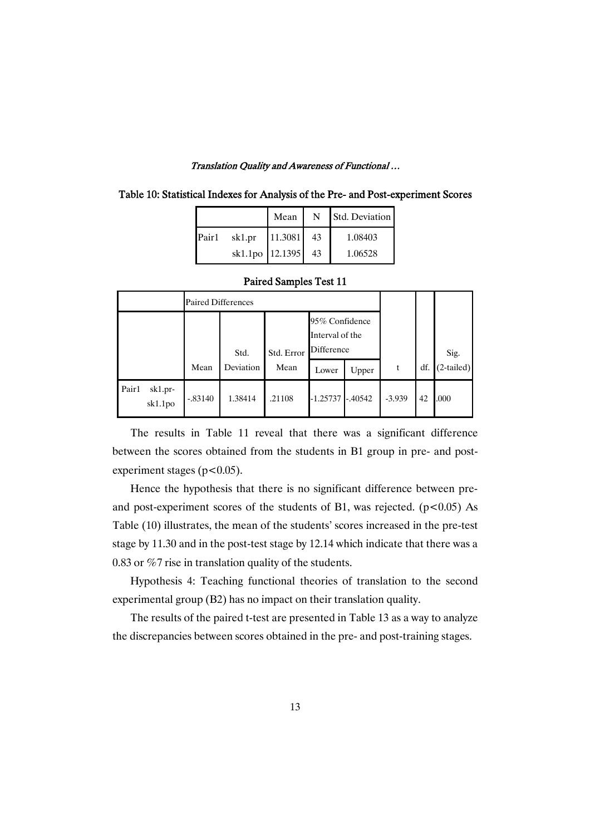| Table 10: Statistical Indexes for Analysis of the Pre- and Post-experiment Scores |  |  |
|-----------------------------------------------------------------------------------|--|--|
|-----------------------------------------------------------------------------------|--|--|

|                   |                    | Mean 1     | N Std. Deviation |
|-------------------|--------------------|------------|------------------|
| Pair <sub>1</sub> | sk1.pr             | 11.3081 43 | 1.08403          |
|                   | sk1.1po 12.1395 43 |            | 1.06528          |

|                             | <b>Paired Differences</b> |           |                                                               |            |           |          |      |              |
|-----------------------------|---------------------------|-----------|---------------------------------------------------------------|------------|-----------|----------|------|--------------|
|                             |                           | Std.      | 95% Confidence<br>Interval of the<br>Difference<br>Std. Error |            |           |          | Sig. |              |
|                             | Mean                      | Deviation | Mean                                                          | Lower      | Upper     |          | df.  | $(2-tailed)$ |
| Pair1<br>sk1.pr-<br>sk1.1po | $-.83140$                 | 1.38414   | .21108                                                        | $-1.25737$ | $-.40542$ | $-3.939$ | 42   | .000         |

### Paired Samples Test 11

The results in Table 11 reveal that there was a significant difference between the scores obtained from the students in B1 group in pre- and postexperiment stages ( $p < 0.05$ ).

Hence the hypothesis that there is no significant difference between preand post-experiment scores of the students of B1, was rejected.  $(p<0.05)$  As Table (10) illustrates, the mean of the students' scores increased in the pre-test stage by 11.30 and in the post-test stage by 12.14 which indicate that there was a 0.83 or %7 rise in translation quality of the students.

Hypothesis 4: Teaching functional theories of translation to the second experimental group (B2) has no impact on their translation quality.

The results of the paired t-test are presented in Table 13 as a way to analyze the discrepancies between scores obtained in the pre- and post-training stages.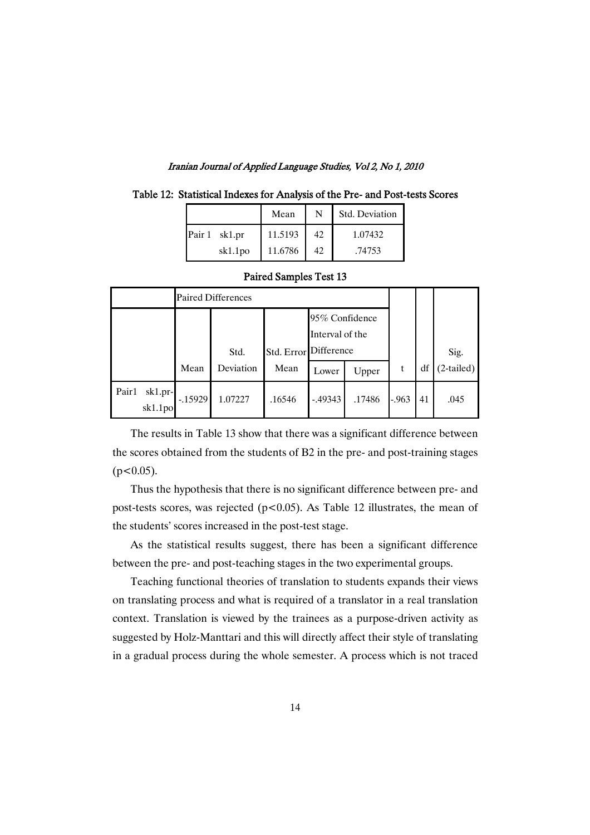|  |  |  | Table 12: Statistical Indexes for Analysis of the Pre- and Post-tests Scores |  |
|--|--|--|------------------------------------------------------------------------------|--|
|  |  |  |                                                                              |  |

|               | Mean    | N  | Std. Deviation |
|---------------|---------|----|----------------|
| Pair 1 sk1.pr | 11.5193 | 42 | 1.07432        |
| sk1.1po       | 11.6786 | 42 | .74753         |

|                             | <b>Paired Differences</b> |           |            |                                                 |        |         |      |              |
|-----------------------------|---------------------------|-----------|------------|-------------------------------------------------|--------|---------|------|--------------|
|                             |                           | Std.      | Std. Error | 95% Confidence<br>Interval of the<br>Difference |        |         | Sig. |              |
|                             | Mean                      | Deviation | Mean       | Lower                                           | Upper  | t       | df   | $(2-tailed)$ |
| Pair1<br>sk1.pr-<br>sk1.1po | $-15929$                  | 1.07227   | .16546     | $-0.49343$                                      | .17486 | $-.963$ | 41   | .045         |

### Paired Samples Test 13

The results in Table 13 show that there was a significant difference between the scores obtained from the students of B2 in the pre- and post-training stages  $(p<0.05)$ .

Thus the hypothesis that there is no significant difference between pre- and post-tests scores, was rejected ( $p$ <0.05). As Table 12 illustrates, the mean of the students' scores increased in the post-test stage.

As the statistical results suggest, there has been a significant difference between the pre- and post-teaching stages in the two experimental groups.

Teaching functional theories of translation to students expands their views on translating process and what is required of a translator in a real translation context. Translation is viewed by the trainees as a purpose-driven activity as suggested by Holz-Manttari and this will directly affect their style of translating in a gradual process during the whole semester. A process which is not traced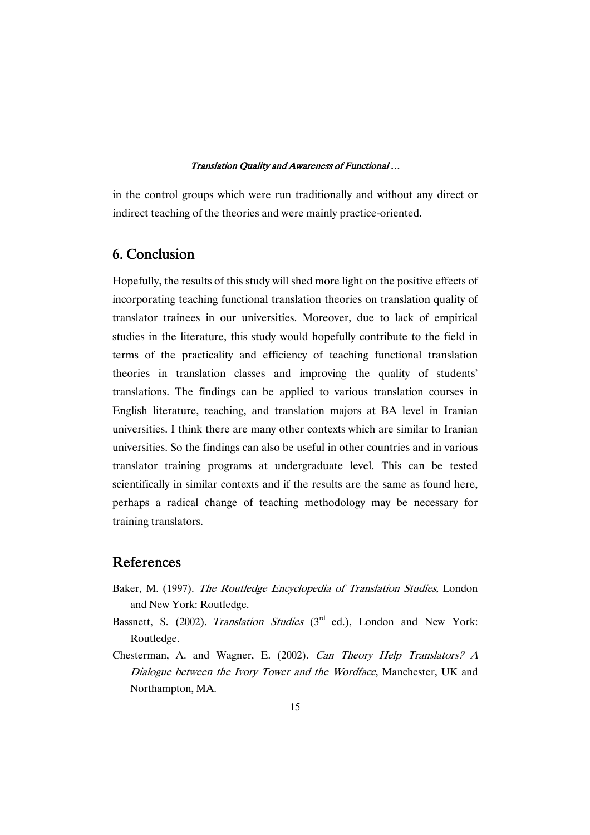in the control groups which were run traditionally and without any direct or indirect teaching of the theories and were mainly practice-oriented.

### 6.Conclusion

Hopefully, the results of this study will shed more light on the positive effects of incorporating teaching functional translation theories on translation quality of translator trainees in our universities. Moreover, due to lack of empirical studies in the literature, this study would hopefully contribute to the field in terms of the practicality and efficiency of teaching functional translation theories in translation classes and improving the quality of students' translations. The findings can be applied to various translation courses in English literature, teaching, and translation majors at BA level in Iranian universities. I think there are many other contexts which are similar to Iranian universities. So the findings can also be useful in other countries and in various translator training programs at undergraduate level. This can be tested scientifically in similar contexts and if the results are the same as found here, perhaps a radical change of teaching methodology may be necessary for training translators.

### References

- Baker, M. (1997). The Routledge Encyclopedia of Translation Studies, London and New York: Routledge.
- Bassnett, S. (2002). *Translation Studies* (3<sup>rd</sup> ed.), London and New York: Routledge.
- Chesterman, A. and Wagner, E. (2002). Can Theory Help Translators? <sup>A</sup> Dialogue between the Ivory Tower and the Wordface, Manchester, UK and Northampton, MA.